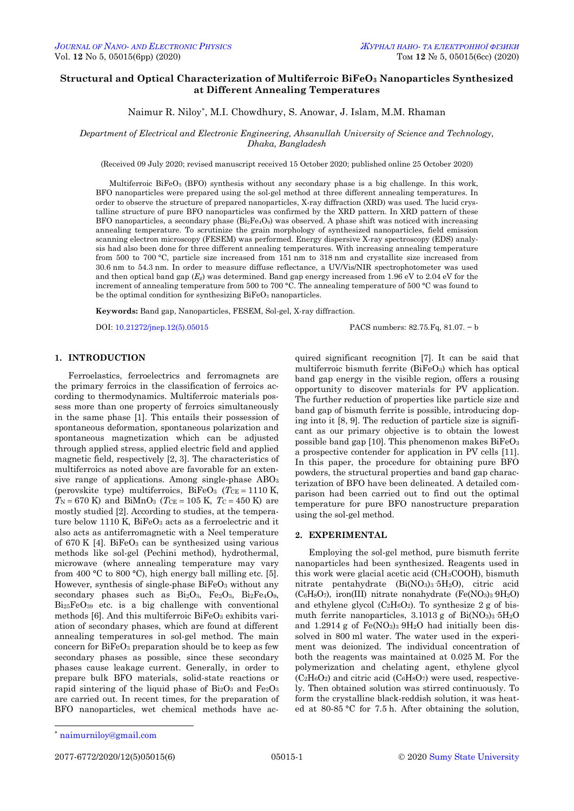# **Structural and Optical Characterization of Multiferroic BiFeO<sup>3</sup> Nanoparticles Synthesized at Different Annealing Temperatures**

Naimur R. Niloy\* , M.I. Chowdhury, S. Anowar, J. Islam, M.M. Rhaman

*Department of Electrical and Electronic Engineering, Ahsanullah University of Science and Technology, Dhaka, Bangladesh*

(Received 09 July 2020; revised manuscript received 15 October 2020; published online 25 October 2020)

Multiferroic BiFeO<sub>3</sub> (BFO) synthesis without any secondary phase is a big challenge. In this work, BFO nanoparticles were prepared using the sol-gel method at three different annealing temperatures. In order to observe the structure of prepared nanoparticles, X-ray diffraction (XRD) was used. The lucid crystalline structure of pure BFO nanoparticles was confirmed by the XRD pattern. In XRD pattern of these BFO nanoparticles, a secondary phase  $(Bi<sub>2</sub>Fe<sub>4</sub>O<sub>9</sub>)$  was observed. A phase shift was noticed with increasing annealing temperature. To scrutinize the grain morphology of synthesized nanoparticles, field emission scanning electron microscopy (FESEM) was performed. Energy dispersive X-ray spectroscopy (EDS) analysis had also been done for three different annealing temperatures. With increasing annealing temperature from 500 to 700 °C, particle size increased from 151 nm to 318 nm and crystallite size increased from 30.6 nm to 54.3 nm. In order to measure diffuse reflectance, a UV/Vis/NIR spectrophotometer was used and then optical band gap (*Eg*) was determined. Band gap energy increased from 1.96 eV to 2.04 eV for the increment of annealing temperature from 500 to 700 °C. The annealing temperature of 500 °C was found to be the optimal condition for synthesizing  $BiFeO<sub>3</sub>$  nanoparticles.

**Keywords:** Band gap, Nanoparticles, FESEM, Sol-gel, X-ray diffraction.

DOI[: 10.21272/jnep.12\(5\).05015](https://doi.org/10.21272/jnep.12(5).05015) PACS numbers: 82.75.Fq, 81.07. − b

# **1. INTRODUCTION**

Ferroelastics, ferroelectrics and ferromagnets are the primary ferroics in the classification of ferroics according to thermodynamics. Multiferroic materials possess more than one property of ferroics simultaneously in the same phase [1]. This entails their possession of spontaneous deformation, spontaneous polarization and spontaneous magnetization which can be adjusted through applied stress, applied electric field and applied magnetic field, respectively [2, 3]. The characteristics of multiferroics as noted above are favorable for an extensive range of applications. Among single-phase ABO<sup>3</sup> (perovskite type) multiferroics,  $BiFeO<sub>3</sub>$  ( $T<sub>CE</sub> = 1110 K$ ,  $T_N = 670$  K) and BiMnO<sub>3</sub> ( $T_{CE} = 105$  K,  $T_C = 450$  K) are mostly studied [2]. According to studies, at the temperature below 1110 K,  $BiFeO<sub>3</sub>$  acts as a ferroelectric and it also acts as antiferromagnetic with a Neel temperature of 670 K [4]. BiFeO<sub>3</sub> can be synthesized using various methods like sol-gel (Pechini method), hydrothermal, microwave (where annealing temperature may vary from 400 °C to 800 °C), high energy ball milling etc. [5]. However, synthesis of single-phase BiFeO<sub>3</sub> without any secondary phases such as Bi<sub>2</sub>O<sub>3</sub>, Fe<sub>2</sub>O<sub>3</sub>, Bi<sub>2</sub>Fe<sub>4</sub>O<sub>9</sub>,  $Bi_{25}FeO_{39}$  etc. is a big challenge with conventional methods [6]. And this multiferroic  $BiFeO<sub>3</sub>$  exhibits variation of secondary phases, which are found at different annealing temperatures in sol-gel method. The main concern for BiFeO<sup>3</sup> preparation should be to keep as few secondary phases as possible, since these secondary phases cause leakage current. Generally, in order to prepare bulk BFO materials, solid-state reactions or rapid sintering of the liquid phase of  $Bi<sub>2</sub>O<sub>3</sub>$  and  $Fe<sub>2</sub>O<sub>3</sub>$ are carried out. In recent times, for the preparation of BFO nanoparticles, wet chemical methods have acquired significant recognition [7]. It can be said that multiferroic bismuth ferrite (BiFeO3) which has optical band gap energy in the visible region, offers a rousing opportunity to discover materials for PV application. The further reduction of properties like particle size and band gap of bismuth ferrite is possible, introducing doping into it [8, 9]. The reduction of particle size is significant as our primary objective is to obtain the lowest possible band gap [10]. This phenomenon makes BiFeO<sup>3</sup> a prospective contender for application in PV cells [11]. In this paper, the procedure for obtaining pure BFO powders, the structural properties and band gap characterization of BFO have been delineated. A detailed comparison had been carried out to find out the optimal temperature for pure BFO nanostructure preparation using the sol-gel method.

## **2. EXPERIMENTAL**

Employing the sol-gel method, pure bismuth ferrite nanoparticles had been synthesized. Reagents used in this work were glacial acetic acid (CH3COOH), bismuth nitrate pentahydrate (Bi(NO3)3·5H2O), citric acid  $(C_6H_8O_7)$ , iron(III) nitrate nonahydrate (Fe(NO<sub>3</sub>)<sub>3</sub> 9H<sub>2</sub>O) and ethylene glycol  $(C_2H_6O_2)$ . To synthesize 2 g of bismuth ferrite nanoparticles,  $3.1013$  g of Bi(NO<sub>3</sub>)<sub>3</sub>  $5H<sub>2</sub>O$ and  $1.2914$  g of  $Fe(NO<sub>3</sub>)<sub>3</sub> 9H<sub>2</sub>O$  had initially been dissolved in 800 ml water. The water used in the experiment was deionized. The individual concentration of both the reagents was maintained at 0.025 M. For the polymerization and chelating agent, ethylene glycol  $(C_2H_6O_2)$  and citric acid  $(C_6H_8O_7)$  were used, respectively. Then obtained solution was stirred continuously. To form the crystalline black-reddish solution, it was heated at 80-85 °C for 7.5 h. After obtaining the solution,

1

<span id="page-0-3"></span><span id="page-0-2"></span><span id="page-0-1"></span><span id="page-0-0"></span>2077-6772/2020/12(5)05015(6) [05015-](#page-0-2)1 [2020](#page-0-3) [Sumy State University](http://sumdu.edu.ua/)

<sup>\*</sup> [naimurniloy@gmail.com](mailto:naimurniloy@gmail.com)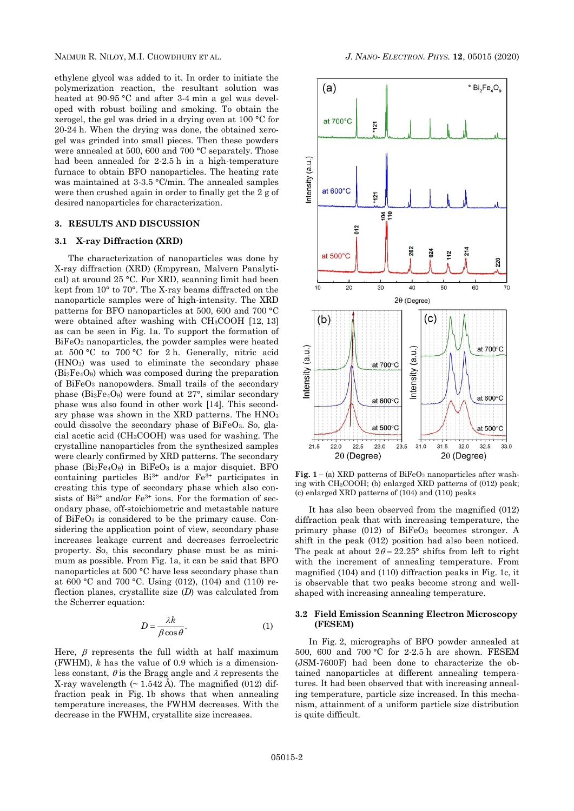ethylene glycol was added to it. In order to initiate the polymerization reaction, the resultant solution was heated at 90-95 °C and after 3-4 min a gel was developed with robust boiling and smoking. To obtain the xerogel, the gel was dried in a drying oven at 100 °C for 20-24 h. When the drying was done, the obtained xerogel was grinded into small pieces. Then these powders were annealed at 500, 600 and 700 °C separately. Those had been annealed for 2-2.5 h in a high-temperature furnace to obtain BFO nanoparticles. The heating rate was maintained at 3-3.5 °C/min. The annealed samples were then crushed again in order to finally get the 2 g of desired nanoparticles for characterization.

## **3. RESULTS AND DISCUSSION**

## **3.1 X-ray Diffraction (XRD)**

The characterization of nanoparticles was done by X-ray diffraction (XRD) (Empyrean, Malvern Panalytical) at around 25 °C. For XRD, scanning limit had been kept from 10° to 70°. The X-ray beams diffracted on the nanoparticle samples were of high-intensity. The XRD patterns for BFO nanoparticles at 500, 600 and 700 °C were obtained after washing with CH3COOH [12, 13] as can be seen in Fig. 1a. To support the formation of BiFeO<sup>3</sup> nanoparticles, the powder samples were heated at 500 °C to 700 °C for 2 h. Generally, nitric acid (HNO3) was used to eliminate the secondary phase (Bi2Fe4O9) which was composed during the preparation of BiFeO<sup>3</sup> nanopowders. Small trails of the secondary phase (Bi2Fe4O9) were found at 27°, similar secondary phase was also found in other work [14]. This secondary phase was shown in the XRD patterns. The HNO<sup>3</sup> could dissolve the secondary phase of BiFeO3. So, glacial acetic acid (CH3COOH) was used for washing. The crystalline nanoparticles from the synthesized samples were clearly confirmed by XRD patterns. The secondary phase  $(Bi<sub>2</sub>Fe<sub>4</sub>O<sub>9</sub>)$  in  $BiFeO<sub>3</sub>$  is a major disquiet. BFO containing particles  $Bi^{3+}$  and/or  $Fe^{3+}$  participates in creating this type of secondary phase which also consists of Bi3+ and/or Fe3+ ions. For the formation of secondary phase, off-stoichiometric and metastable nature of  $BiFeO<sub>3</sub>$  is considered to be the primary cause. Considering the application point of view, secondary phase increases leakage current and decreases ferroelectric property. So, this secondary phase must be as minimum as possible. From Fig. 1a, it can be said that BFO nanoparticles at 500 °C have less secondary phase than at 600 °C and 700 °C. Using (012), (104) and (110) reflection planes, crystallite size (*D*) was calculated from the Scherrer equation:

$$
D = \frac{\lambda k}{\beta \cos \theta}.
$$
 (1)

Here,  $\beta$  represents the full width at half maximum (FWHM), *k* has the value of 0.9 which is a dimensionless constant,  $\theta$  is the Bragg angle and  $\lambda$  represents the X-ray wavelength  $(\sim 1.542 \text{ Å})$ . The magnified (012) diffraction peak in Fig. 1b shows that when annealing temperature increases, the FWHM decreases. With the decrease in the FWHM, crystallite size increases.



**Fig.**  $1 - (a)$  XRD patterns of BiFeO<sub>3</sub> nanoparticles after washing with CH3COOH; (b) enlarged XRD patterns of (012) peak; (c) enlarged XRD patterns of (104) and (110) peaks

It has also been observed from the magnified (012) diffraction peak that with increasing temperature, the primary phase  $(012)$  of BiFeO<sub>3</sub> becomes stronger. A shift in the peak (012) position had also been noticed. The peak at about  $2\theta = 22.25^{\circ}$  shifts from left to right with the increment of annealing temperature. From magnified (104) and (110) diffraction peaks in Fig. 1c, it is observable that two peaks become strong and wellshaped with increasing annealing temperature.

## **3.2 Field Emission Scanning Electron Microscopy (FESEM)**

In Fig. 2, micrographs of BFO powder annealed at 500, 600 and 700 °C for 2-2.5 h are shown. FESEM (JSM-7600F) had been done to characterize the obtained nanoparticles at different annealing temperatures. It had been observed that with increasing annealing temperature, particle size increased. In this mechanism, attainment of a uniform particle size distribution is quite difficult.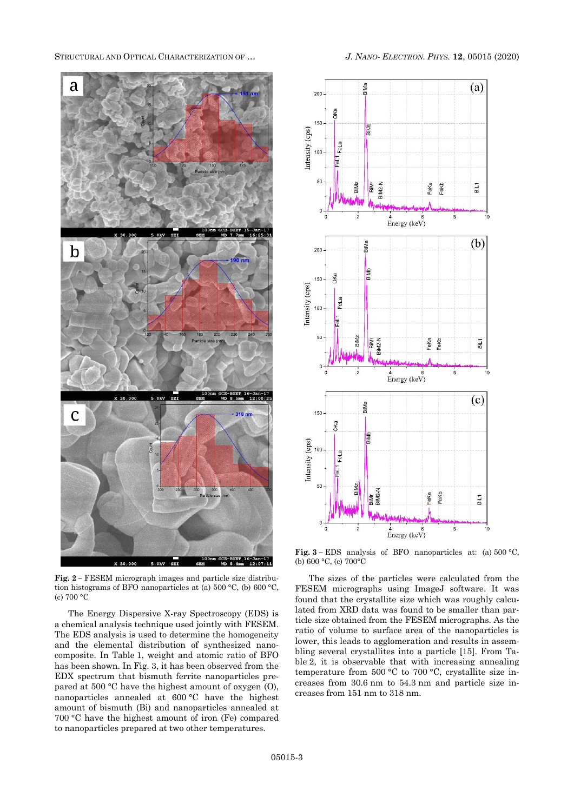STRUCTURAL AND OPTICAL CHARACTERIZATION OF … *J. NANO- ELECTRON. PHYS.* **[12](#page-0-2)**, [05015](#page-0-2) [\(2020\)](#page-0-2)



**Fig. 2 –** FESEM micrograph images and particle size distribution histograms of BFO nanoparticles at (a) 500 °C, (b) 600 °C, (c) 700 °C

The Energy Dispersive X-ray Spectroscopy (EDS) is a chemical analysis technique used jointly with FESEM. The EDS analysis is used to determine the homogeneity and the elemental distribution of synthesized nanocomposite. In Table 1, weight and atomic ratio of BFO has been shown. In Fig. 3, it has been observed from the EDX spectrum that bismuth ferrite nanoparticles prepared at 500 °C have the highest amount of oxygen (O), nanoparticles annealed at 600 °C have the highest amount of bismuth (Bi) and nanoparticles annealed at 700 °C have the highest amount of iron (Fe) compared to nanoparticles prepared at two other temperatures.



**Fig. 3 –** EDS analysis of BFO nanoparticles at: (a) 500 °C, (b) 600 °C, (c) 700°C

The sizes of the particles were calculated from the FESEM micrographs using ImageJ software. It was found that the crystallite size which was roughly calculated from XRD data was found to be smaller than particle size obtained from the FESEM micrographs. As the ratio of volume to surface area of the nanoparticles is lower, this leads to agglomeration and results in assembling several crystallites into a particle [15]. From Table 2, it is observable that with increasing annealing temperature from 500 °C to 700 °C, crystallite size increases from 30.6 nm to 54.3 nm and particle size increases from 151 nm to 318 nm.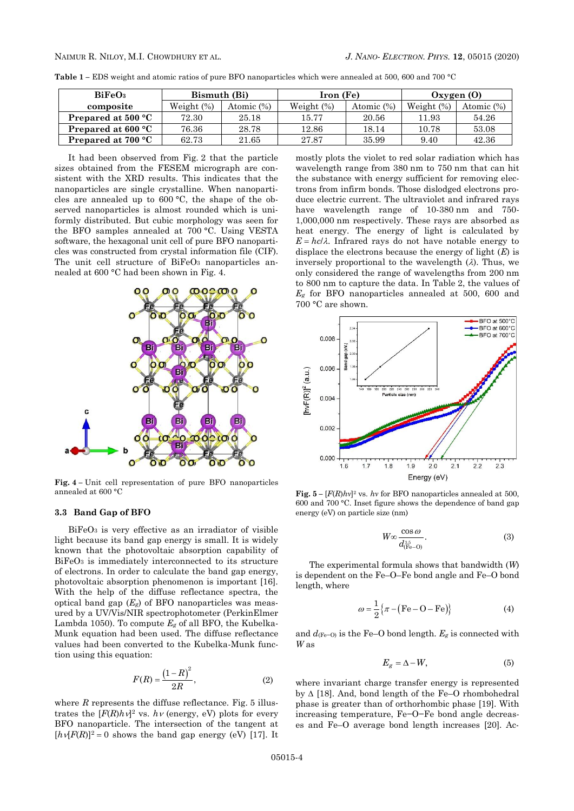**Table 1 –** EDS weight and atomic ratios of pure BFO nanoparticles which were annealed at 500, 600 and 700 °C

| BiFeO <sub>3</sub>        | Bismuth (Bi)  |            | Iron (Fe)     |            | Oxyeen(0)     |            |
|---------------------------|---------------|------------|---------------|------------|---------------|------------|
| composite                 | Weight $(\%)$ | Atomic (%) | Weight $(\%)$ | Atomic (%) | Weight $(\%)$ | Atomic (%) |
| <b>Prepared at 500 °C</b> | 72.30         | 25.18      | 15.77         | 20.56      | 11.93         | 54.26      |
| Prepared at $600 °C$      | 76.36         | 28.78      | 12.86         | 18.14      | 10.78         | 53.08      |
| <b>Prepared at 700 °C</b> | 62.73         | 21.65      | 27.87         | 35.99      | 9.40          | 42.36      |

It had been observed from Fig. 2 that the particle sizes obtained from the FESEM micrograph are consistent with the XRD results. This indicates that the nanoparticles are single crystalline. When nanoparticles are annealed up to 600 °C, the shape of the observed nanoparticles is almost rounded which is uniformly distributed. But cubic morphology was seen for the BFO samples annealed at 700 °C. Using VESTA software, the hexagonal unit cell of pure BFO nanoparticles was constructed from crystal information file (CIF). The unit cell structure of  $BiFeO<sub>3</sub>$  nanoparticles annealed at 600 °C had been shown in Fig. 4.



**Fig. 4 –** Unit cell representation of pure BFO nanoparticles annealed at 600 °C

# **3.3 Band Gap of BFO**

 $BiFeO<sub>3</sub>$  is very effective as an irradiator of visible light because its band gap energy is small. It is widely known that the photovoltaic absorption capability of BiFeO<sub>3</sub> is immediately interconnected to its structure of electrons. In order to calculate the band gap energy, photovoltaic absorption phenomenon is important [16]. With the help of the diffuse reflectance spectra, the optical band gap  $(E_g)$  of BFO nanoparticles was measured by a UV/Vis/NIR spectrophotometer (PerkinElmer Lambda 1050). To compute *E<sup>g</sup>* of all BFO, the Kubelka-Munk equation had been used. The diffuse reflectance values had been converted to the Kubelka-Munk function using this equation:

$$
F(R) = \frac{\left(1 - R\right)^2}{2R},\tag{2}
$$

where  $R$  represents the diffuse reflectance. Fig.  $5$  illustrates the  $[F(R)h\mathcal{V}]^2$  vs.  $h\mathcal{V}$  (energy, eV) plots for every BFO nanoparticle. The intersection of the tangent at  $[hv|F(R)]^2 = 0$  shows the band gap energy (eV) [17]. It

mostly plots the violet to red solar radiation which has wavelength range from 380 nm to 750 nm that can hit the substance with energy sufficient for removing electrons from infirm bonds. Those dislodged electrons produce electric current. The ultraviolet and infrared rays have wavelength range of 10-380 nm and 750- 1,000,000 nm respectively. These rays are absorbed as heat energy. The energy of light is calculated by  $E = hc/\lambda$ . Infrared rays do not have notable energy to displace the electrons because the energy of light (*E*) is inversely proportional to the wavelength  $(\lambda)$ . Thus, we only considered the range of wavelengths from 200 nm to 800 nm to capture the data. In Table 2, the values of *E<sup>g</sup>* for BFO nanoparticles annealed at 500, 600 and 700 °C are shown.



**Fig.**  $5 - [F(R)hv]^2$  vs. *hv* for BFO nanoparticles annealed at 500, 600 and 700 °C. Inset figure shows the dependence of band gap energy (eV) on particle size (nm)

$$
W \infty \frac{\cos \omega}{d_{\text{(Fe--O)}}^{\frac{3.5}{3.5}}}
$$
 (3)

The experimental formula shows that bandwidth (*W*) is dependent on the Fe–O–Fe bond angle and Fe–O bond length, where

$$
\omega = \frac{1}{2} \left\{ \pi - (\text{Fe} - \text{O} - \text{Fe}) \right\} \tag{4}
$$

and  $d_{\text{(Fe}-\text{O})}$  is the Fe–O bond length.  $E_g$  is connected with *W* as

$$
E_g = \Delta - W,\tag{5}
$$

where invariant charge transfer energy is represented by  $\Delta$  [18]. And, bond length of the Fe–O rhombohedral phase is greater than of orthorhombic phase [19]. With increasing temperature, Fe−O−Fe bond angle decreases and Fe–O average bond length increases [20]. Ac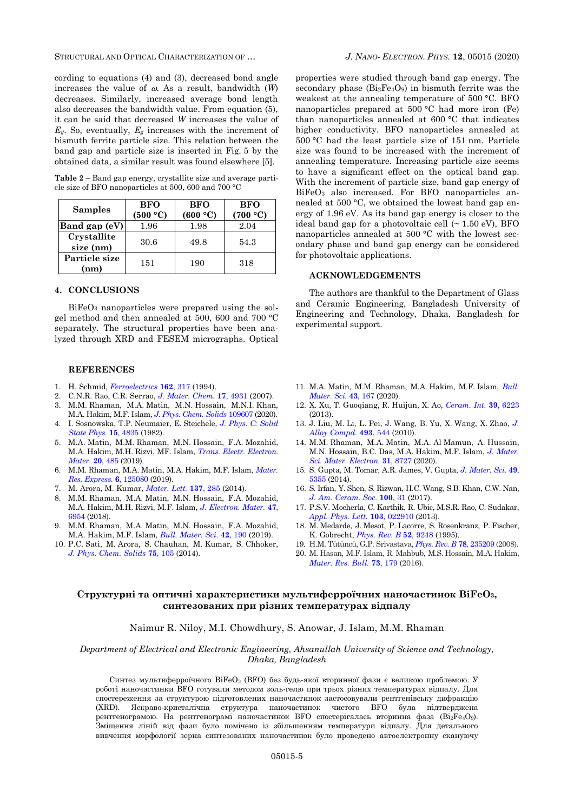STRUCTURAL AND OPTICAL CHARACTERIZATION OF … *J. NANO- ELECTRON. PHYS.* **[12](#page-0-2)**, [05015](#page-0-2) [\(2020\)](#page-0-2)

cording to equations (4) and (3), decreased bond angle increases the value of  $\omega$ . As a result, bandwidth  $(W)$ decreases. Similarly, increased average bond length also decreases the bandwidth value. From equation (5), it can be said that decreased *W* increases the value of *Eg*. So, eventually, *E<sup>g</sup>* increases with the increment of bismuth ferrite particle size. This relation between the band gap and particle size is inserted in Fig. 5 by the obtained data, a similar result was found elsewhere [5].

**Table 2** – Band gap energy, crystallite size and average particle size of BFO nanoparticles at 500, 600 and 700 °C

| <b>Samples</b>           | <b>BFO</b><br>(500 °C) | <b>BFO</b><br>(600 °C) | <b>BFO</b><br>(700 °C) |
|--------------------------|------------------------|------------------------|------------------------|
| Band gap (eV)            | 1.96                   | 1.98                   | 2.04                   |
| Crystallite<br>size (nm) | 30.6                   | 49.8                   | 54.3                   |
| Particle size<br>(nm)    | 151                    | 190                    | 318                    |

# **4. CONCLUSIONS**

BiFeO<sup>3</sup> nanoparticles were prepared using the solgel method and then annealed at 500, 600 and 700 °C separately. The structural properties have been analyzed through XRD and FESEM micrographs. Optical

#### **REFERENCES**

- 1. H. Schmid, *[Ferroelectrics](https://doi.org/10.1080/00150199408245120)* **162**, 317 (1994).
- 2. C.N.R. Rao, C.R. Serrao, *[J. Mater. Chem.](https://doi.org/10.1039/B709126E)* **17**, 4931 (2007).
- 3. M.M. Rhaman, M.A. Matin, M.N. Hossain, M.N.I. Khan, M.A. Hakim, M.F. Islam, *[J. Phys.](https://doi.org/10.1016/j.jpcs.2020.109607) Chem. Solids* 109607 (2020).
- 4. I. Sosnowska, T.P. Neumaier, E. Steichele, *[J. Phys. C: Solid](https://doi.org/10.1088/0022-3719/15/23/020)  [State Phys.](https://doi.org/10.1088/0022-3719/15/23/020)* **15**, 4835 (1982).
- 5. M.A. Matin, M.M. Rhaman, M.N. Hossain, F.A. Mozahid, M.A. Hakim, M.H. Rizvi, MF. Islam, *[Trans. Electr. Electron.](https://doi.org/10.1007/s42341-019-00140-8)  [Mater](https://doi.org/10.1007/s42341-019-00140-8)*. **20**, 485 (2019).
- 6. M.M. Rhaman, M.A. Matin, M.A. Hakim, M.F. Islam, *[Mater.](https://doi.org/10.1088/2053-1591/ab57c2)  [Res. Express.](https://doi.org/10.1088/2053-1591/ab57c2)* **6**, 125080 (2019).
- 7. M. Arora, M. Kumar, *[Mater. Lett.](https://doi.org/10.1016/j.matlet.2014.08.140)* **137**, 285 (2014).
- 8. M.M. Rhaman, M.A. Matin, M.N. Hossain, F.A. Mozahid, M.A. Hakim, M.H. Rizvi, M.F. Islam, *[J. Electron. Mater.](https://doi.org/10.1007/s11664-018-6597-7)* **47**, [6954](https://doi.org/10.1007/s11664-018-6597-7) (2018).
- 9. M.M. Rhaman, M.A. Matin, M.N. Hossain, F.A. Mozahid, M.A. Hakim, M.F. Islam, *[Bull. Mater. Sci.](https://doi.org/10.1007/s12034-019-1871-8)* **42**, 190 (2019).
- 10. P.C. Sati, M. Arora, S. Chauhan, M. Kumar, S. Chhoke[r,](https://doi.org/10.1016/j.jpcs.2013.09.003) *J. Phys. [Chem.](https://doi.org/10.1016/j.jpcs.2013.09.003) Solids* **75**, 105 (2014).

properties were studied through band gap energy. The secondary phase  $(Bi<sub>2</sub>Fe<sub>4</sub>O<sub>9</sub>)$  in bismuth ferrite was the weakest at the annealing temperature of 500 °C. BFO nanoparticles prepared at 500 °C had more iron (Fe) than nanoparticles annealed at 600 °C that indicates higher conductivity. BFO nanoparticles annealed at 500 °C had the least particle size of 151 nm. Particle size was found to be increased with the increment of annealing temperature. Increasing particle size seems to have a significant effect on the optical band gap. With the increment of particle size, band gap energy of BiFeO<sub>3</sub> also increased. For BFO nanoparticles annealed at 500 °C, we obtained the lowest band gap energy of 1.96 eV. As its band gap energy is closer to the ideal band gap for a photovoltaic cell  $($   $\sim$  1.50 eV), BFO nanoparticles annealed at 500 °C with the lowest secondary phase and band gap energy can be considered for photovoltaic applications.

#### **ACKNOWLEDGEMENTS**

The authors are thankful to the Department of Glass and Ceramic Engineering, Bangladesh University of Engineering and Technology, Dhaka, Bangladesh for experimental support.

- 11. M.A. Matin, M.M. Rhaman, M.A. Hakim, M.F. Islam, *[Bull.](https://doi.org/10.1007/s12034-020-02118-2)  [Mater. Sci.](https://doi.org/10.1007/s12034-020-02118-2)* **43**, 167 (2020).
- 12. X. Xu, T. Guoqiang, R. Huijun, X. Ao, *[Ceram. Int.](https://doi.org/10.1016/j.ceramint.2013.01.042)* **39**, 6223 (2013).
- 13. J. Liu, M. Li, L. Pei, J. Wang, B. Yu, X. Wang, X. Zhao, *[J.](https://doi.org/10.1016/j.jallcom.2009.12.152)  [Alloy Compd.](https://doi.org/10.1016/j.jallcom.2009.12.152)* **493**, 544 (2010).
- 14. M.M. Rhaman, M.A. Matin, M.A. Al Mamun, A. Hussain, M.N. Hossain, B.C. Das, M.A. Hakim, M.F. Islam, *[J. Mater.](https://doi.org/10.1007/s10854-020-03407-6)  [Sci. Mater. Electron.](https://doi.org/10.1007/s10854-020-03407-6)* **31**, 8727 (2020).
- 15. S. Gupta, M. Tomar, A.R. James, V. Gupta, *[J. Mater. Sci.](https://doi.org/10.1007/s10853-014-8243-y)* **49**, [5355](https://doi.org/10.1007/s10853-014-8243-y) (2014).
- 16. S. Irfan, Y. Shen, S. Rizwan, H.C. Wang, S.B. Khan, C.W. Na[n,](https://doi.org/10.1111/jace.14487) *[J. Am. Ceram. Soc.](https://doi.org/10.1111/jace.14487)* **100**, 31 (2017).
- 17. P.S.V. Mocherla, C. Karthik, R. Ubic, M.S.R. Rao, C. Sudakar, *[Appl. Phys. Lett.](https://doi.org/10.1063/1.4813539)* **103**, 022910 (2013).
- 18. M. Medarde, J. Mesot, P. Lacorre, S. Rosenkranz, P. Fischer, K. Gobrecht, *[Phys. Rev. B](https://doi.org/10.1103/PhysRevB.52.9248)* **52**, 9248 (1995).
- 19. H.M. Tütüncü, G.P. Srivastava, *[Phys. Rev. B](https://doi.org/10.1103/PhysRevB.78.235209)* **78**, 235209 (2008).
- 20. M. Hasan, M.F. Islam, R. Mahbub, M.S. Hossain, M.A. Haki[m,](https://doi.org/10.1016/j.materresbull.2015.09.007) *[Mater. Res. Bull.](https://doi.org/10.1016/j.materresbull.2015.09.007)* **73**, 179 (2016).

# **Структурні та оптичні характеристики мультиферроїчних наночастинок BiFeO3, синтезованих при різних температурах відпалу**

# Naimur R. Niloy, M.I. Chowdhury, S. Anowar, J. Islam, M.M. Rhaman

### *Department of Electrical and Electronic Engineering, Ahsanullah University of Science and Technology, Dhaka, Bangladesh*

Синтез мультиферроїчного BiFeO<sup>3</sup> (BFO) без будь-якої вторинної фази є великою проблемою. У роботі наночастинки BFO готували методом золь-гелю при трьох різних температурах відпалу. Для спостереження за структурою підготовлених наночастинок застосовували рентгенівську дифракцію (XRD). Яскраво-кристалічна структура наночастинок чистого BFO була підтверджена рентгенограмою. На рентгенограмі наночастинок ВFO спостерігалась вторинна фаза (Bi<sub>2</sub>Fe<sub>4</sub>O<sub>9</sub>). Зміщення ліній від фази було помічено із збільшенням температури відпалу. Для детального вивчення морфології зерна синтезованих наночастинок було проведено автоелектронну скануючу